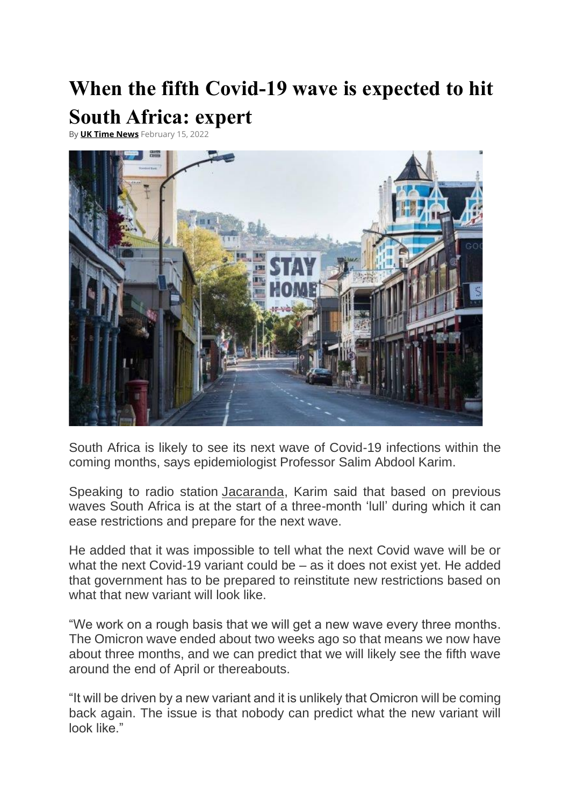## **When the fifth Covid-19 wave is expected to hit South Africa: expert**

By **[UK Time News](https://www.uktimenews.com/author/amit/)** February 15, 2022



South Africa is likely to see its next wave of Covid-19 infections within the coming months, says epidemiologist Professor Salim Abdool Karim.

Speaking to radio station [Jacaranda,](https://www.jacarandafm.com/shows/breakfast-martin-bester/listen-prof-salim-abdool-karim-gives-covid-19-update/) Karim said that based on previous waves South Africa is at the start of a three-month 'lull' during which it can ease restrictions and prepare for the next wave.

He added that it was impossible to tell what the next Covid wave will be or what the next Covid-19 variant could be – as it does not exist yet. He added that government has to be prepared to reinstitute new restrictions based on what that new variant will look like.

"We work on a rough basis that we will get a new wave every three months. The Omicron wave ended about two weeks ago so that means we now have about three months, and we can predict that we will likely see the fifth wave around the end of April or thereabouts.

"It will be driven by a new variant and it is unlikely that Omicron will be coming back again. The issue is that nobody can predict what the new variant will look like."